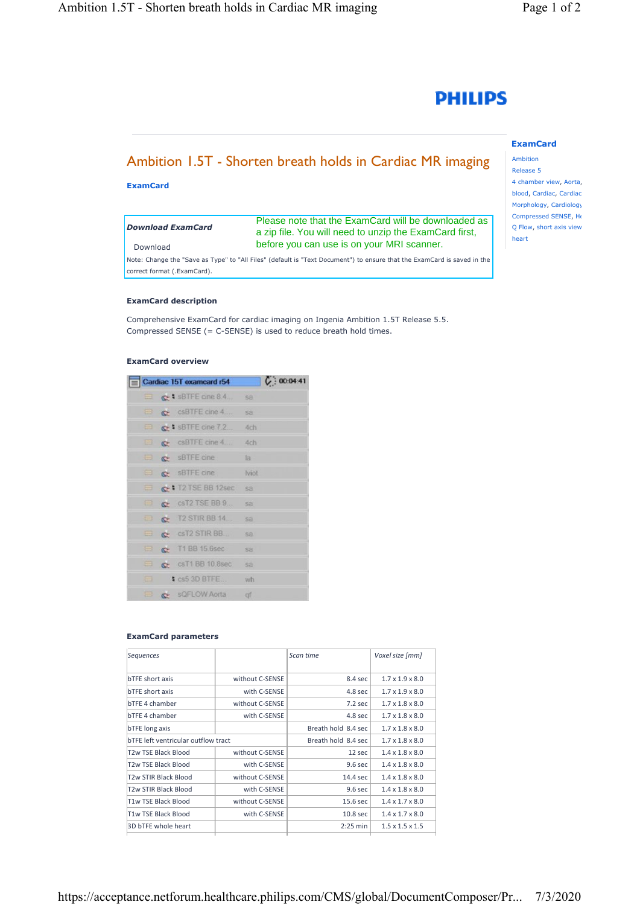

# Ambition 1.5T - Shorten breath holds in Cardiac MR imaging

**ExamCard**

### *Download ExamCard*

Download

# [Please note that the ExamCard will be downloaded as](https://www.philips.com/c-dam/b2bhc/master/sites/netforum/zips/Cardiac-15T-Ambition-R55.zip)  a zip file. You will need to unzip the ExamCard first, before you can use is on your MRI scanner.

Note: Change the "Save as Type" to "All Files" (default is "Text Document") to ensure that the ExamCard is saved in the correct format (.ExamCard).

#### **ExamCard description**

Comprehensive ExamCard for cardiac imaging on Ingenia Ambition 1.5T Release 5.5. Compressed SENSE (= C-SENSE) is used to reduce breath hold times.

# **ExamCard overview**

|          | Cardiac 15T examcard r54                   | C: 00:04:41  |
|----------|--------------------------------------------|--------------|
| $\equiv$ | $\mathbb{C}$ : sBTFE cine 8.4              | <b>Sa</b>    |
| $\Box$   | $\mathbb{C}$ csBTFE cine 4                 | sa           |
|          | $\Rightarrow$ $\bullet$ is SBTFE cine 7.2  | 4ch          |
| 63.      | $C = CSBTFE$ cine 4                        | 4ch          |
| 63       | SBTFE cine                                 | la           |
| e        | SBTFE cine                                 | <b>Iviot</b> |
|          | C: 12 TSE BB 12sec                         | sa           |
| e        | csT2 TSE BB 9<br>$\mathbb{C}^{\mathbb{Z}}$ | sa           |
| ⊟        | P T2 STIR BB 14                            | SB           |
| ⊟        | C CST2 STIR BB                             | sä           |
| e        | $\sim$ T1 BB 15.6sec                       | sa           |
| ⊟        | C csT1 BB 10.8sec                          | sa           |
| ⊟        | $S$ cs5 3D BTFE.                           | wh           |
| B        | SQFLOW Aorta                               | af           |

#### **ExamCard parameters**

| Sequences                           |                 | Scan time           | Voxel size [mm]             |
|-------------------------------------|-----------------|---------------------|-----------------------------|
| <b>bTFE</b> short axis              | without C-SENSE | 8.4 sec             | $1.7 \times 1.9 \times 8.0$ |
| <b>bTFE</b> short axis              | with C-SENSE    | 4.8 <sub>sec</sub>  | $1.7 \times 1.9 \times 8.0$ |
| bTFE 4 chamber                      | without C-SENSE | 7.2 sec             | $1.7 \times 1.8 \times 8.0$ |
| bTFE 4 chamber                      | with C-SENSE    | 4.8 <sub>sec</sub>  | $1.7 \times 1.8 \times 8.0$ |
| bTFE long axis                      |                 | Breath hold 8.4 sec | $1.7 \times 1.8 \times 8.0$ |
| bTFE left ventricular outflow tract |                 | Breath hold 8.4 sec | $1.7 \times 1.8 \times 8.0$ |
| T2w TSE Black Blood                 | without C-SENSE | 12 sec              | $1.4 \times 1.8 \times 8.0$ |
| T2w TSE Black Blood                 | with C-SENSE    | 9.6 sec             | $1.4 \times 1.8 \times 8.0$ |
| T2w STIR Black Blood                | without C-SENSE | 14.4 sec            | $1.4 \times 1.8 \times 8.0$ |
| T2w STIR Black Blood                | with C-SENSE    | 9.6 sec             | $1.4 \times 1.8 \times 8.0$ |
| T1w TSE Black Blood                 | without C-SENSE | 15.6 sec            | $1.4 \times 1.7 \times 8.0$ |
| T1w TSE Black Blood                 | with C-SENSE    | 10.8 sec            | $1.4 \times 1.7 \times 8.0$ |
| 3D bTFE whole heart                 |                 | $2:25$ min          | $1.5 \times 1.5 \times 1.5$ |

# **ExamCard**

Ambition Release 5 4 chamber view, Aorta, blood, Cardiac, Cardiac Morphology, Cardiology Compressed SENSE, He Q Flow, short axis view heart